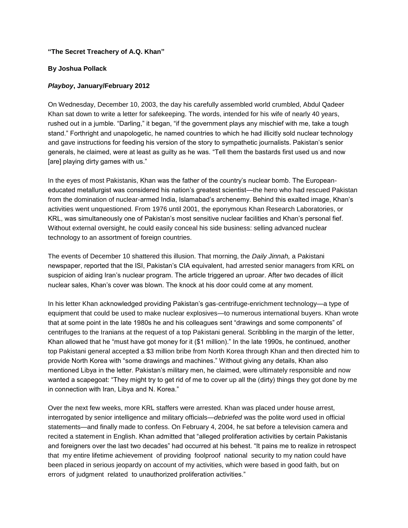## **"The Secret Treachery of A.Q. Khan"**

## **By Joshua Pollack**

## *Playboy***, January/February 2012**

On Wednesday, December 10, 2003, the day his carefully assembled world crumbled, Abdul Qadeer Khan sat down to write a letter for safekeeping. The words, intended for his wife of nearly 40 years, rushed out in a jumble. "Darling," it began, "if the government plays any mischief with me, take a tough stand." Forthright and unapologetic, he named countries to which he had illicitly sold nuclear technology and gave instructions for feeding his version of the story to sympathetic journalists. Pakistan's senior generals, he claimed, were at least as guilty as he was. "Tell them the bastards first used us and now [are] playing dirty games with us."

In the eyes of most Pakistanis, Khan was the father of the country's nuclear bomb. The Europeaneducated metallurgist was considered his nation's greatest scientist—the hero who had rescued Pakistan from the domination of nuclear-armed India, Islamabad's archenemy. Behind this exalted image, Khan's activities went unquestioned. From 1976 until 2001, the eponymous Khan Research Laboratories, or KRL, was simultaneously one of Pakistan's most sensitive nuclear facilities and Khan's personal fief. Without external oversight, he could easily conceal his side business: selling advanced nuclear technology to an assortment of foreign countries.

The events of December 10 shattered this illusion. That morning, the *Daily Jinnah,* a Pakistani newspaper, reported that the ISI, Pakistan's CIA equivalent, had arrested senior managers from KRL on suspicion of aiding Iran's nuclear program. The article triggered an uproar. After two decades of illicit nuclear sales, Khan's cover was blown. The knock at his door could come at any moment.

In his letter Khan acknowledged providing Pakistan's gas-centrifuge-enrichment technology—a type of equipment that could be used to make nuclear explosives—to numerous international buyers. Khan wrote that at some point in the late 1980s he and his colleagues sent "drawings and some components" of centrifuges to the Iranians at the request of a top Pakistani general. Scribbling in the margin of the letter, Khan allowed that he "must have got money for it (\$1 million)." In the late 1990s, he continued, another top Pakistani general accepted a \$3 million bribe from North Korea through Khan and then directed him to provide North Korea with "some drawings and machines." Without giving any details, Khan also mentioned Libya in the letter. Pakistan's military men, he claimed, were ultimately responsible and now wanted a scapegoat: "They might try to get rid of me to cover up all the (dirty) things they got done by me in connection with Iran, Libya and N. Korea."

Over the next few weeks, more KRL staffers were arrested. Khan was placed under house arrest, interrogated by senior intelligence and military officials—*debriefed* was the polite word used in official statements—and finally made to confess. On February 4, 2004, he sat before a television camera and recited a statement in English. Khan admitted that "alleged proliferation activities by certain Pakistanis and foreigners over the last two decades" had occurred at his behest. "It pains me to realize in retrospect that my entire lifetime achievement of providing foolproof national security to my nation could have been placed in serious jeopardy on account of my activities, which were based in good faith, but on errors of judgment related to unauthorized proliferation activities."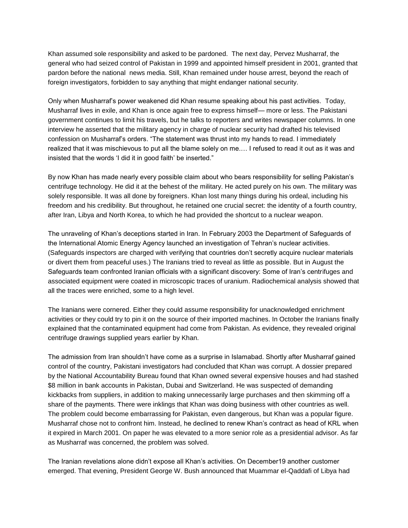Khan assumed sole responsibility and asked to be pardoned. The next day, Pervez Musharraf, the general who had seized control of Pakistan in 1999 and appointed himself president in 2001, granted that pardon before the national news media. Still, Khan remained under house arrest, beyond the reach of foreign investigators, forbidden to say anything that might endanger national security.

Only when Musharraf's power weakened did Khan resume speaking about his past activities. Today, Musharraf lives in exile, and Khan is once again free to express himself— more or less. The Pakistani government continues to limit his travels, but he talks to reporters and writes newspaper columns. In one interview he asserted that the military agency in charge of nuclear security had drafted his televised confession on Musharraf's orders. "The statement was thrust into my hands to read. I immediately realized that it was mischievous to put all the blame solely on me.… I refused to read it out as it was and insisted that the words 'I did it in good faith' be inserted."

By now Khan has made nearly every possible claim about who bears responsibility for selling Pakistan's centrifuge technology. He did it at the behest of the military. He acted purely on his own. The military was solely responsible. It was all done by foreigners. Khan lost many things during his ordeal, including his freedom and his credibility. But throughout, he retained one crucial secret: the identity of a fourth country, after Iran, Libya and North Korea, to which he had provided the shortcut to a nuclear weapon.

The unraveling of Khan's deceptions started in Iran. In February 2003 the Department of Safeguards of the International Atomic Energy Agency launched an investigation of Tehran's nuclear activities. (Safeguards inspectors are charged with verifying that countries don't secretly acquire nuclear materials or divert them from peaceful uses.) The Iranians tried to reveal as little as possible. But in August the Safeguards team confronted Iranian officials with a significant discovery: Some of Iran's centrifuges and associated equipment were coated in microscopic traces of uranium. Radiochemical analysis showed that all the traces were enriched, some to a high level.

The Iranians were cornered. Either they could assume responsibility for unacknowledged enrichment activities or they could try to pin it on the source of their imported machines. In October the Iranians finally explained that the contaminated equipment had come from Pakistan. As evidence, they revealed original centrifuge drawings supplied years earlier by Khan.

The admission from Iran shouldn't have come as a surprise in Islamabad. Shortly after Musharraf gained control of the country, Pakistani investigators had concluded that Khan was corrupt. A dossier prepared by the National Accountability Bureau found that Khan owned several expensive houses and had stashed \$8 million in bank accounts in Pakistan, Dubai and Switzerland. He was suspected of demanding kickbacks from suppliers, in addition to making unnecessarily large purchases and then skimming off a share of the payments. There were inklings that Khan was doing business with other countries as well. The problem could become embarrassing for Pakistan, even dangerous, but Khan was a popular figure. Musharraf chose not to confront him. Instead, he declined to renew Khan's contract as head of KRL when it expired in March 2001. On paper he was elevated to a more senior role as a presidential advisor. As far as Musharraf was concerned, the problem was solved.

The Iranian revelations alone didn't expose all Khan's activities. On December19 another customer emerged. That evening, President George W. Bush announced that Muammar el-Qaddafi of Libya had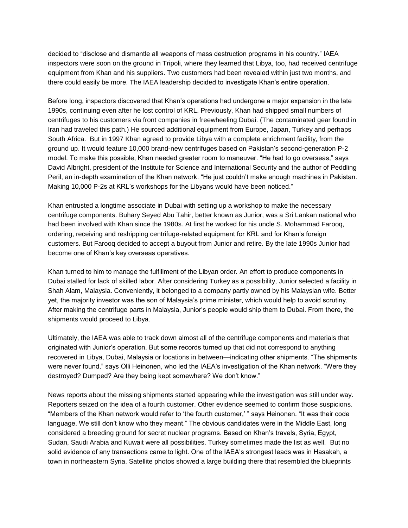decided to "disclose and dismantle all weapons of mass destruction programs in his country." IAEA inspectors were soon on the ground in Tripoli, where they learned that Libya, too, had received centrifuge equipment from Khan and his suppliers. Two customers had been revealed within just two months, and there could easily be more. The IAEA leadership decided to investigate Khan's entire operation.

Before long, inspectors discovered that Khan's operations had undergone a major expansion in the late 1990s, continuing even after he lost control of KRL. Previously, Khan had shipped small numbers of centrifuges to his customers via front companies in freewheeling Dubai. (The contaminated gear found in Iran had traveled this path.) He sourced additional equipment from Europe, Japan, Turkey and perhaps South Africa. But in 1997 Khan agreed to provide Libya with a complete enrichment facility, from the ground up. It would feature 10,000 brand-new centrifuges based on Pakistan's second-generation P-2 model. To make this possible, Khan needed greater room to maneuver. "He had to go overseas," says David Albright, president of the Institute for Science and International Security and the author of Peddling Peril, an in-depth examination of the Khan network. "He just couldn't make enough machines in Pakistan. Making 10,000 P-2s at KRL's workshops for the Libyans would have been noticed."

Khan entrusted a longtime associate in Dubai with setting up a workshop to make the necessary centrifuge components. Buhary Seyed Abu Tahir, better known as Junior, was a Sri Lankan national who had been involved with Khan since the 1980s. At first he worked for his uncle S. Mohammad Farooq, ordering, receiving and reshipping centrifuge-related equipment for KRL and for Khan's foreign customers. But Farooq decided to accept a buyout from Junior and retire. By the late 1990s Junior had become one of Khan's key overseas operatives.

Khan turned to him to manage the fulfillment of the Libyan order. An effort to produce components in Dubai stalled for lack of skilled labor. After considering Turkey as a possibility, Junior selected a facility in Shah Alam, Malaysia. Conveniently, it belonged to a company partly owned by his Malaysian wife. Better yet, the majority investor was the son of Malaysia's prime minister, which would help to avoid scrutiny. After making the centrifuge parts in Malaysia, Junior's people would ship them to Dubai. From there, the shipments would proceed to Libya.

Ultimately, the IAEA was able to track down almost all of the centrifuge components and materials that originated with Junior's operation. But some records turned up that did not correspond to anything recovered in Libya, Dubai, Malaysia or locations in between—indicating other shipments. "The shipments were never found," says Olli Heinonen, who led the IAEA's investigation of the Khan network. "Were they destroyed? Dumped? Are they being kept somewhere? We don't know."

News reports about the missing shipments started appearing while the investigation was still under way. Reporters seized on the idea of a fourth customer. Other evidence seemed to confirm those suspicions. "Members of the Khan network would refer to 'the fourth customer,' " says Heinonen. "It was their code language. We still don't know who they meant." The obvious candidates were in the Middle East, long considered a breeding ground for secret nuclear programs. Based on Khan's travels, Syria, Egypt, Sudan, Saudi Arabia and Kuwait were all possibilities. Turkey sometimes made the list as well. But no solid evidence of any transactions came to light. One of the IAEA's strongest leads was in Hasakah, a town in northeastern Syria. Satellite photos showed a large building there that resembled the blueprints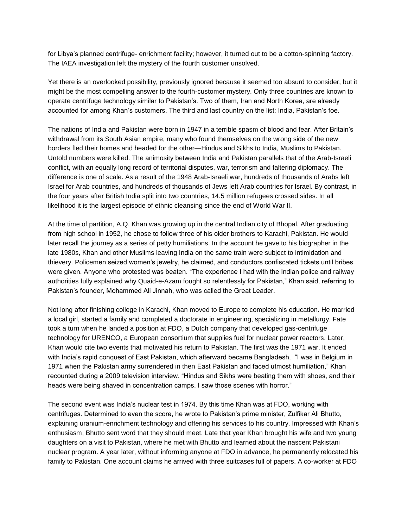for Libya's planned centrifuge- enrichment facility; however, it turned out to be a cotton-spinning factory. The IAEA investigation left the mystery of the fourth customer unsolved.

Yet there is an overlooked possibility, previously ignored because it seemed too absurd to consider, but it might be the most compelling answer to the fourth-customer mystery. Only three countries are known to operate centrifuge technology similar to Pakistan's. Two of them, Iran and North Korea, are already accounted for among Khan's customers. The third and last country on the list: India, Pakistan's foe.

The nations of India and Pakistan were born in 1947 in a terrible spasm of blood and fear. After Britain's withdrawal from its South Asian empire, many who found themselves on the wrong side of the new borders fled their homes and headed for the other—Hindus and Sikhs to India, Muslims to Pakistan. Untold numbers were killed. The animosity between India and Pakistan parallels that of the Arab-Israeli conflict, with an equally long record of territorial disputes, war, terrorism and faltering diplomacy. The difference is one of scale. As a result of the 1948 Arab-Israeli war, hundreds of thousands of Arabs left Israel for Arab countries, and hundreds of thousands of Jews left Arab countries for Israel. By contrast, in the four years after British India split into two countries, 14.5 million refugees crossed sides. In all likelihood it is the largest episode of ethnic cleansing since the end of World War II.

At the time of partition, A.Q. Khan was growing up in the central Indian city of Bhopal. After graduating from high school in 1952, he chose to follow three of his older brothers to Karachi, Pakistan. He would later recall the journey as a series of petty humiliations. In the account he gave to his biographer in the late 1980s, Khan and other Muslims leaving India on the same train were subject to intimidation and thievery. Policemen seized women's jewelry, he claimed, and conductors confiscated tickets until bribes were given. Anyone who protested was beaten. "The experience I had with the Indian police and railway authorities fully explained why Quaid-e-Azam fought so relentlessly for Pakistan," Khan said, referring to Pakistan's founder, Mohammed Ali Jinnah, who was called the Great Leader.

Not long after finishing college in Karachi, Khan moved to Europe to complete his education. He married a local girl, started a family and completed a doctorate in engineering, specializing in metallurgy. Fate took a turn when he landed a position at FDO, a Dutch company that developed gas-centrifuge technology for URENCO, a European consortium that supplies fuel for nuclear power reactors. Later, Khan would cite two events that motivated his return to Pakistan. The first was the 1971 war. It ended with India's rapid conquest of East Pakistan, which afterward became Bangladesh. "I was in Belgium in 1971 when the Pakistan army surrendered in then East Pakistan and faced utmost humiliation," Khan recounted during a 2009 television interview. "Hindus and Sikhs were beating them with shoes, and their heads were being shaved in concentration camps. I saw those scenes with horror."

The second event was India's nuclear test in 1974. By this time Khan was at FDO, working with centrifuges. Determined to even the score, he wrote to Pakistan's prime minister, Zulfikar Ali Bhutto, explaining uranium-enrichment technology and offering his services to his country. Impressed with Khan's enthusiasm, Bhutto sent word that they should meet. Late that year Khan brought his wife and two young daughters on a visit to Pakistan, where he met with Bhutto and learned about the nascent Pakistani nuclear program. A year later, without informing anyone at FDO in advance, he permanently relocated his family to Pakistan. One account claims he arrived with three suitcases full of papers. A co-worker at FDO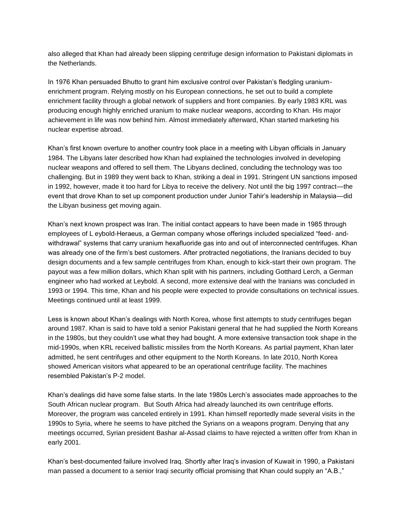also alleged that Khan had already been slipping centrifuge design information to Pakistani diplomats in the Netherlands.

In 1976 Khan persuaded Bhutto to grant him exclusive control over Pakistan's fledgling uraniumenrichment program. Relying mostly on his European connections, he set out to build a complete enrichment facility through a global network of suppliers and front companies. By early 1983 KRL was producing enough highly enriched uranium to make nuclear weapons, according to Khan. His major achievement in life was now behind him. Almost immediately afterward, Khan started marketing his nuclear expertise abroad.

Khan's first known overture to another country took place in a meeting with Libyan officials in January 1984. The Libyans later described how Khan had explained the technologies involved in developing nuclear weapons and offered to sell them. The Libyans declined, concluding the technology was too challenging. But in 1989 they went back to Khan, striking a deal in 1991. Stringent UN sanctions imposed in 1992, however, made it too hard for Libya to receive the delivery. Not until the big 1997 contract—the event that drove Khan to set up component production under Junior Tahir's leadership in Malaysia—did the Libyan business get moving again.

Khan's next known prospect was Iran. The initial contact appears to have been made in 1985 through employees of L eybold-Heraeus, a German company whose offerings included specialized "feed- andwithdrawal" systems that carry uranium hexafluoride gas into and out of interconnected centrifuges. Khan was already one of the firm's best customers. After protracted negotiations, the Iranians decided to buy design documents and a few sample centrifuges from Khan, enough to kick-start their own program. The payout was a few million dollars, which Khan split with his partners, including Gotthard Lerch, a German engineer who had worked at Leybold. A second, more extensive deal with the Iranians was concluded in 1993 or 1994. This time, Khan and his people were expected to provide consultations on technical issues. Meetings continued until at least 1999.

Less is known about Khan's dealings with North Korea, whose first attempts to study centrifuges began around 1987. Khan is said to have told a senior Pakistani general that he had supplied the North Koreans in the 1980s, but they couldn't use what they had bought. A more extensive transaction took shape in the mid-1990s, when KRL received ballistic missiles from the North Koreans. As partial payment, Khan later admitted, he sent centrifuges and other equipment to the North Koreans. In late 2010, North Korea showed American visitors what appeared to be an operational centrifuge facility. The machines resembled Pakistan's P-2 model.

Khan's dealings did have some false starts. In the late 1980s Lerch's associates made approaches to the South African nuclear program. But South Africa had already launched its own centrifuge efforts. Moreover, the program was canceled entirely in 1991. Khan himself reportedly made several visits in the 1990s to Syria, where he seems to have pitched the Syrians on a weapons program. Denying that any meetings occurred, Syrian president Bashar al-Assad claims to have rejected a written offer from Khan in early 2001.

Khan's best-documented failure involved Iraq. Shortly after Iraq's invasion of Kuwait in 1990, a Pakistani man passed a document to a senior Iraqi security official promising that Khan could supply an "A.B.,"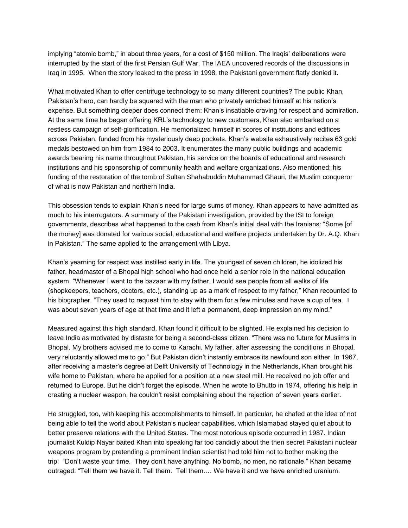implying "atomic bomb," in about three years, for a cost of \$150 million. The Iraqis' deliberations were interrupted by the start of the first Persian Gulf War. The IAEA uncovered records of the discussions in Iraq in 1995. When the story leaked to the press in 1998, the Pakistani government flatly denied it.

What motivated Khan to offer centrifuge technology to so many different countries? The public Khan, Pakistan's hero, can hardly be squared with the man who privately enriched himself at his nation's expense. But something deeper does connect them: Khan's insatiable craving for respect and admiration. At the same time he began offering KRL's technology to new customers, Khan also embarked on a restless campaign of self-glorification. He memorialized himself in scores of institutions and edifices across Pakistan, funded from his mysteriously deep pockets. Khan's website exhaustively recites 63 gold medals bestowed on him from 1984 to 2003. It enumerates the many public buildings and academic awards bearing his name throughout Pakistan, his service on the boards of educational and research institutions and his sponsorship of community health and welfare organizations. Also mentioned: his funding of the restoration of the tomb of Sultan Shahabuddin Muhammad Ghauri, the Muslim conqueror of what is now Pakistan and northern India.

This obsession tends to explain Khan's need for large sums of money. Khan appears to have admitted as much to his interrogators. A summary of the Pakistani investigation, provided by the ISI to foreign governments, describes what happened to the cash from Khan's initial deal with the Iranians: "Some [of the money] was donated for various social, educational and welfare projects undertaken by Dr. A.Q. Khan in Pakistan." The same applied to the arrangement with Libya.

Khan's yearning for respect was instilled early in life. The youngest of seven children, he idolized his father, headmaster of a Bhopal high school who had once held a senior role in the national education system. "Whenever I went to the bazaar with my father, I would see people from all walks of life (shopkeepers, teachers, doctors, etc.), standing up as a mark of respect to my father," Khan recounted to his biographer. "They used to request him to stay with them for a few minutes and have a cup of tea. I was about seven years of age at that time and it left a permanent, deep impression on my mind."

Measured against this high standard, Khan found it difficult to be slighted. He explained his decision to leave India as motivated by distaste for being a second-class citizen. "There was no future for Muslims in Bhopal. My brothers advised me to come to Karachi. My father, after assessing the conditions in Bhopal, very reluctantly allowed me to go." But Pakistan didn't instantly embrace its newfound son either. In 1967, after receiving a master's degree at Delft University of Technology in the Netherlands, Khan brought his wife home to Pakistan, where he applied for a position at a new steel mill. He received no job offer and returned to Europe. But he didn't forget the episode. When he wrote to Bhutto in 1974, offering his help in creating a nuclear weapon, he couldn't resist complaining about the rejection of seven years earlier.

He struggled, too, with keeping his accomplishments to himself. In particular, he chafed at the idea of not being able to tell the world about Pakistan's nuclear capabilities, which Islamabad stayed quiet about to better preserve relations with the United States. The most notorious episode occurred in 1987. Indian journalist Kuldip Nayar baited Khan into speaking far too candidly about the then secret Pakistani nuclear weapons program by pretending a prominent Indian scientist had told him not to bother making the trip: "Don't waste your time. They don't have anything. No bomb, no men, no rationale." Khan became outraged: "Tell them we have it. Tell them. Tell them.… We have it and we have enriched uranium.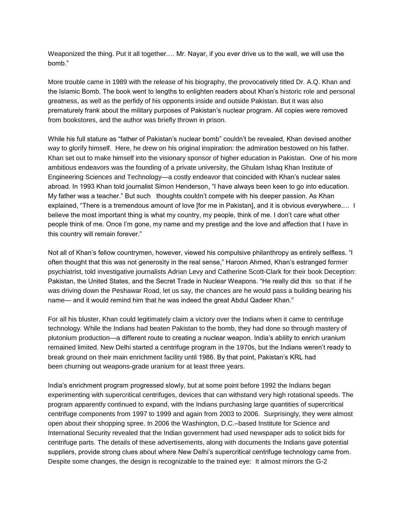Weaponized the thing. Put it all together.… Mr. Nayar, if you ever drive us to the wall, we will use the bomb."

More trouble came in 1989 with the release of his biography, the provocatively titled Dr. A.Q. Khan and the Islamic Bomb. The book went to lengths to enlighten readers about Khan's historic role and personal greatness, as well as the perfidy of his opponents inside and outside Pakistan. But it was also prematurely frank about the military purposes of Pakistan's nuclear program. All copies were removed from bookstores, and the author was briefly thrown in prison.

While his full stature as "father of Pakistan's nuclear bomb" couldn't be revealed, Khan devised another way to glorify himself. Here, he drew on his original inspiration: the admiration bestowed on his father. Khan set out to make himself into the visionary sponsor of higher education in Pakistan. One of his more ambitious endeavors was the founding of a private university, the Ghulam Ishaq Khan Institute of Engineering Sciences and Technology—a costly endeavor that coincided with Khan's nuclear sales abroad. In 1993 Khan told journalist Simon Henderson, "I have always been keen to go into education. My father was a teacher." But such thoughts couldn't compete with his deeper passion. As Khan explained, "There is a tremendous amount of love [for me in Pakistan], and it is obvious everywhere.... I believe the most important thing is what my country, my people, think of me. I don't care what other people think of me. Once I'm gone, my name and my prestige and the love and affection that I have in this country will remain forever."

Not all of Khan's fellow countrymen, however, viewed his compulsive philanthropy as entirely selfless. "I often thought that this was not generosity in the real sense," Haroon Ahmed, Khan's estranged former psychiatrist, told investigative journalists Adrian Levy and Catherine Scott-Clark for their book Deception: Pakistan, the United States, and the Secret Trade in Nuclear Weapons. "He really did this so that if he was driving down the Peshawar Road, let us say, the chances are he would pass a building bearing his name— and it would remind him that he was indeed the great Abdul Qadeer Khan."

For all his bluster, Khan could legitimately claim a victory over the Indians when it came to centrifuge technology. While the Indians had beaten Pakistan to the bomb, they had done so through mastery of plutonium production—a different route to creating a nuclear weapon. India's ability to enrich uranium remained limited. New Delhi started a centrifuge program in the 1970s, but the Indians weren't ready to break ground on their main enrichment facility until 1986. By that point, Pakistan's KRL had been churning out weapons-grade uranium for at least three years.

India's enrichment program progressed slowly, but at some point before 1992 the Indians began experimenting with supercritical centrifuges, devices that can withstand very high rotational speeds. The program apparently continued to expand, with the Indians purchasing large quantities of supercritical centrifuge components from 1997 to 1999 and again from 2003 to 2006. Surprisingly, they were almost open about their shopping spree. In 2006 the Washington, D.C.–based Institute for Science and International Security revealed that the Indian government had used newspaper ads to solicit bids for centrifuge parts. The details of these advertisements, along with documents the Indians gave potential suppliers, provide strong clues about where New Delhi's supercritical centrifuge technology came from. Despite some changes, the design is recognizable to the trained eye: It almost mirrors the G-2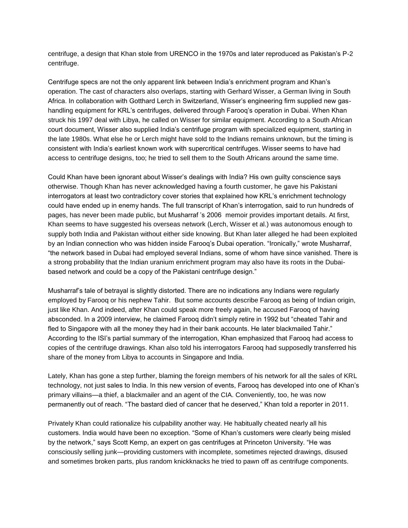centrifuge, a design that Khan stole from URENCO in the 1970s and later reproduced as Pakistan's P-2 centrifuge.

Centrifuge specs are not the only apparent link between India's enrichment program and Khan's operation. The cast of characters also overlaps, starting with Gerhard Wisser, a German living in South Africa. In collaboration with Gotthard Lerch in Switzerland, Wisser's engineering firm supplied new gashandling equipment for KRL's centrifuges, delivered through Farooq's operation in Dubai. When Khan struck his 1997 deal with Libya, he called on Wisser for similar equipment. According to a South African court document, Wisser also supplied India's centrifuge program with specialized equipment, starting in the late 1980s. What else he or Lerch might have sold to the Indians remains unknown, but the timing is consistent with India's earliest known work with supercritical centrifuges. Wisser seems to have had access to centrifuge designs, too; he tried to sell them to the South Africans around the same time.

Could Khan have been ignorant about Wisser's dealings with India? His own guilty conscience says otherwise. Though Khan has never acknowledged having a fourth customer, he gave his Pakistani interrogators at least two contradictory cover stories that explained how KRL's enrichment technology could have ended up in enemy hands. The full transcript of Khan's interrogation, said to run hundreds of pages, has never been made public, but Musharraf 's 2006 memoir provides important details. At first, Khan seems to have suggested his overseas network (Lerch, Wisser et al.) was autonomous enough to supply both India and Pakistan without either side knowing. But Khan later alleged he had been exploited by an Indian connection who was hidden inside Farooq's Dubai operation. "Ironically," wrote Musharraf, "the network based in Dubai had employed several Indians, some of whom have since vanished. There is a strong probability that the Indian uranium enrichment program may also have its roots in the Dubaibased network and could be a copy of the Pakistani centrifuge design."

Musharraf's tale of betrayal is slightly distorted. There are no indications any Indians were regularly employed by Farooq or his nephew Tahir. But some accounts describe Farooq as being of Indian origin, just like Khan. And indeed, after Khan could speak more freely again, he accused Farooq of having absconded. In a 2009 interview, he claimed Farooq didn't simply retire in 1992 but "cheated Tahir and fled to Singapore with all the money they had in their bank accounts. He later blackmailed Tahir." According to the ISI's partial summary of the interrogation, Khan emphasized that Farooq had access to copies of the centrifuge drawings. Khan also told his interrogators Farooq had supposedly transferred his share of the money from Libya to accounts in Singapore and India.

Lately, Khan has gone a step further, blaming the foreign members of his network for all the sales of KRL technology, not just sales to India. In this new version of events, Farooq has developed into one of Khan's primary villains—a thief, a blackmailer and an agent of the CIA. Conveniently, too, he was now permanently out of reach. "The bastard died of cancer that he deserved," Khan told a reporter in 2011.

Privately Khan could rationalize his culpability another way. He habitually cheated nearly all his customers. India would have been no exception. "Some of Khan's customers were clearly being misled by the network," says Scott Kemp, an expert on gas centrifuges at Princeton University. "He was consciously selling junk—providing customers with incomplete, sometimes rejected drawings, disused and sometimes broken parts, plus random knickknacks he tried to pawn off as centrifuge components.